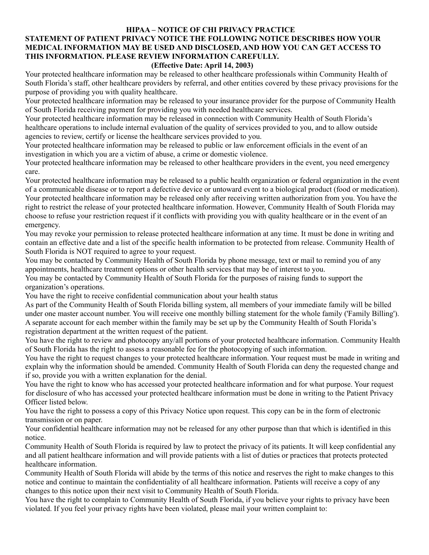#### **HIPAA – NOTICE OF CHI PRIVACY PRACTICE**

# **STATEMENT OF PATIENT PRIVACY NOTICE THE FOLLOWING NOTICE DESCRIBES HOW YOUR MEDICAL INFORMATION MAY BE USED AND DISCLOSED, AND HOW YOU CAN GET ACCESS TO THIS INFORMATION. PLEASE REVIEW INFORMATION CAREFULLY.**

#### **(Effective Date: April 14, 2003)**

Your protected healthcare information may be released to other healthcare professionals within Community Health of South Florida's staff, other healthcare providers by referral, and other entities covered by these privacy provisions for the purpose of providing you with quality healthcare.

Your protected healthcare information may be released to your insurance provider for the purpose of Community Health of South Florida receiving payment for providing you with needed healthcare services.

Your protected healthcare information may be released in connection with Community Health of South Florida's healthcare operations to include internal evaluation of the quality of services provided to you, and to allow outside agencies to review, certify or license the healthcare services provided to you.

Your protected healthcare information may be released to public or law enforcement officials in the event of an investigation in which you are a victim of abuse, a crime or domestic violence.

Your protected healthcare information may be released to other healthcare providers in the event, you need emergency care.

Your protected healthcare information may be released to a public health organization or federal organization in the event of a communicable disease or to report a defective device or untoward event to a biological product (food or medication). Your protected healthcare information may be released only after receiving written authorization from you. You have the right to restrict the release of your protected healthcare information. However, Community Health of South Florida may choose to refuse your restriction request if it conflicts with providing you with quality healthcare or in the event of an emergency.

You may revoke your permission to release protected healthcare information at any time. It must be done in writing and contain an effective date and a list of the specific health information to be protected from release. Community Health of South Florida is NOT required to agree to your request.

You may be contacted by Community Health of South Florida by phone message, text or mail to remind you of any appointments, healthcare treatment options or other health services that may be of interest to you.

You may be contacted by Community Health of South Florida for the purposes of raising funds to support the organization's operations.

You have the right to receive confidential communication about your health status

As part of the Community Health of South Florida billing system, all members of your immediate family will be billed under one master account number. You will receive one monthly billing statement for the whole family ('Family Billing'). A separate account for each member within the family may be set up by the Community Health of South Florida's registration department at the written request of the patient.

You have the right to review and photocopy any/all portions of your protected healthcare information. Community Health of South Florida has the right to assess a reasonable fee for the photocopying of such information.

You have the right to request changes to your protected healthcare information. Your request must be made in writing and explain why the information should be amended. Community Health of South Florida can deny the requested change and if so, provide you with a written explanation for the denial.

You have the right to know who has accessed your protected healthcare information and for what purpose. Your request for disclosure of who has accessed your protected healthcare information must be done in writing to the Patient Privacy Officer listed below.

You have the right to possess a copy of this Privacy Notice upon request. This copy can be in the form of electronic transmission or on paper.

Your confidential healthcare information may not be released for any other purpose than that which is identified in this notice.

Community Health of South Florida is required by law to protect the privacy of its patients. It will keep confidential any and all patient healthcare information and will provide patients with a list of duties or practices that protects protected healthcare information.

Community Health of South Florida will abide by the terms of this notice and reserves the right to make changes to this notice and continue to maintain the confidentiality of all healthcare information. Patients will receive a copy of any changes to this notice upon their next visit to Community Health of South Florida.

You have the right to complain to Community Health of South Florida, if you believe your rights to privacy have been violated. If you feel your privacy rights have been violated, please mail your written complaint to: